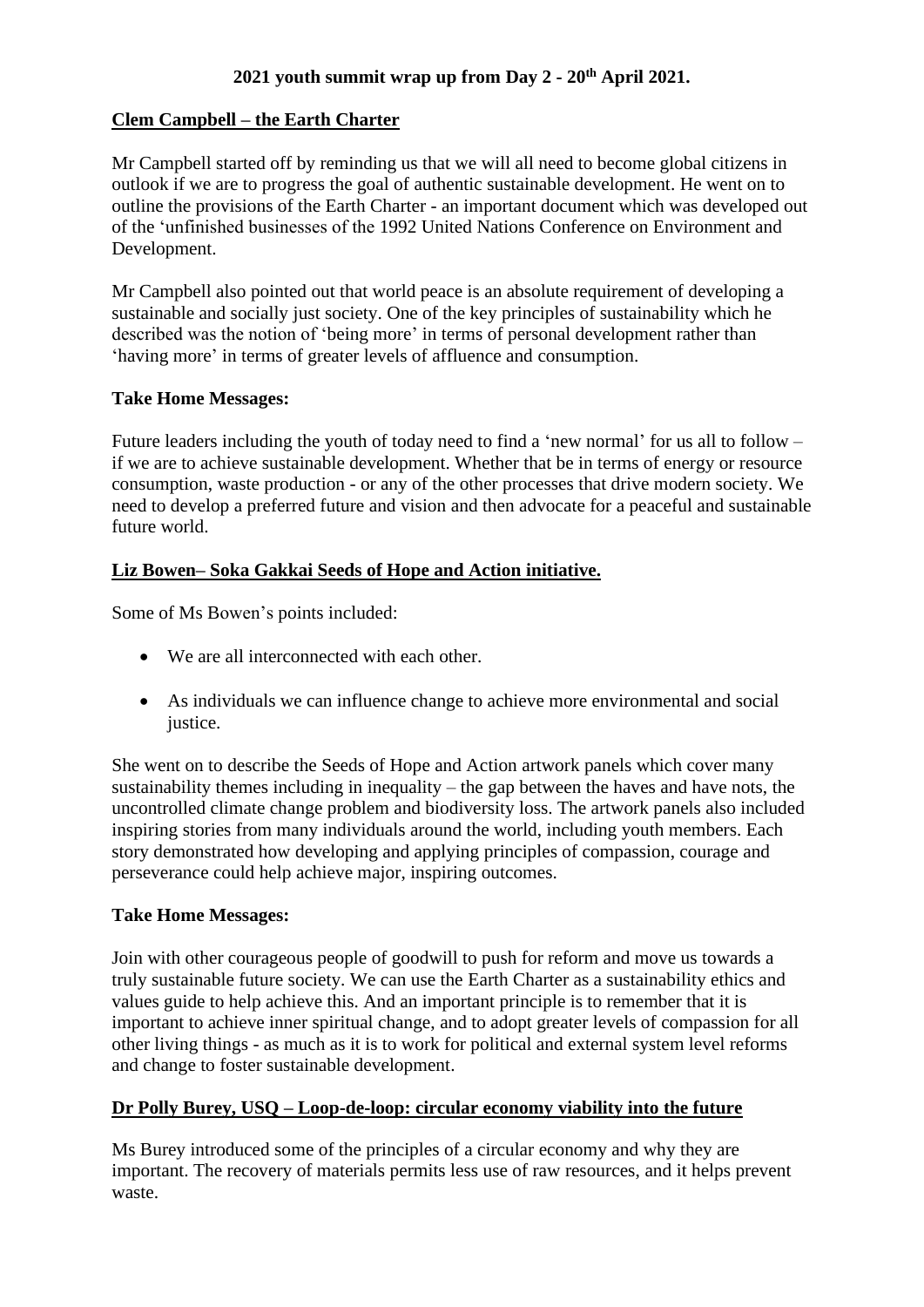# **Clem Campbell – the Earth Charter**

Mr Campbell started off by reminding us that we will all need to become global citizens in outlook if we are to progress the goal of authentic sustainable development. He went on to outline the provisions of the Earth Charter - an important document which was developed out of the 'unfinished businesses of the 1992 United Nations Conference on Environment and Development.

Mr Campbell also pointed out that world peace is an absolute requirement of developing a sustainable and socially just society. One of the key principles of sustainability which he described was the notion of 'being more' in terms of personal development rather than 'having more' in terms of greater levels of affluence and consumption.

## **Take Home Messages:**

Future leaders including the youth of today need to find a 'new normal' for us all to follow – if we are to achieve sustainable development. Whether that be in terms of energy or resource consumption, waste production - or any of the other processes that drive modern society. We need to develop a preferred future and vision and then advocate for a peaceful and sustainable future world.

# **Liz Bowen– Soka Gakkai Seeds of Hope and Action initiative.**

Some of Ms Bowen's points included:

- We are all interconnected with each other.
- As individuals we can influence change to achieve more environmental and social justice.

She went on to describe the Seeds of Hope and Action artwork panels which cover many sustainability themes including in inequality – the gap between the haves and have nots, the uncontrolled climate change problem and biodiversity loss. The artwork panels also included inspiring stories from many individuals around the world, including youth members. Each story demonstrated how developing and applying principles of compassion, courage and perseverance could help achieve major, inspiring outcomes.

## **Take Home Messages:**

Join with other courageous people of goodwill to push for reform and move us towards a truly sustainable future society. We can use the Earth Charter as a sustainability ethics and values guide to help achieve this. And an important principle is to remember that it is important to achieve inner spiritual change, and to adopt greater levels of compassion for all other living things - as much as it is to work for political and external system level reforms and change to foster sustainable development.

## **Dr Polly Burey, USQ – Loop-de-loop: circular economy viability into the future**

Ms Burey introduced some of the principles of a circular economy and why they are important. The recovery of materials permits less use of raw resources, and it helps prevent waste.